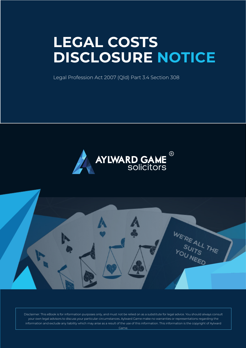# **LEGAL COSTS DISCLOSURE NOTICE**

Legal Profession Act 2007 (Qld) Part 3.4 Section 308



WE'RE ALL THE

Disclaimer: This eBook is for information purposes only, and must not be relied on as a substitute for legal advice. You should always consult your own legal advisors to discuss your particular circumstances. Aylward Game make no warranties or representations regarding the information and exclude any liability which may arise as a result of the use of this information. This information is the copyright of Aylward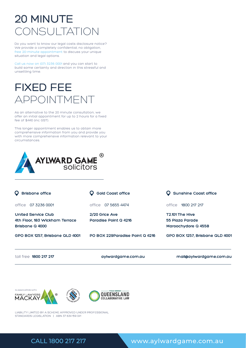# 20 MINUTE CONSULTATION

Do you want to know our legal costs disclosure notice? We provide a completely confidential, no obligation, free 20-minute appointment to discuss your unique situation and legal options.

Call us now on (07) 3236 0001 and you can start to build some certainty and direction in this stressful and unsettling time.

# FIXED FEE APPOINTMENT

As an alternative to the 20 minute consultation, we offer an initial appointment for up to 2 hours for a fixed fee of \$440 (inc GST).

This longer appointment enables us to obtain more comprehensive information from you and provide you with more comprehensive information relevant to your circumstances.



| <b>Brisbane office</b>                                                   | <b>Gold Coast office</b>                | <b>Sunshine Coast office</b>                              |
|--------------------------------------------------------------------------|-----------------------------------------|-----------------------------------------------------------|
| office<br>07 3236 0001                                                   | 07 5655 4474<br>office                  | 1800 217 217<br>office                                    |
| United Service Club<br>4th Floor, 183 Wickham Terrace<br>Brisbane Q 4000 | 2/20 Grice Ave<br>Paradise Point Q 4216 | T2.101 The Hive<br>55 Plaza Parade<br>Maroochydore Q 4558 |
| GPO BOX 1257, Brisbane QLD 4001                                          | PO BOX 229Paradise Point Q 4216         | GPO BOX 1257, Brisbane QLD 4001                           |
| toll free 1800 217 217                                                   | aylwardgame.com.au                      | mail@aylwardgame.com.au                                   |



LIABILITY LIMITED BY A SCHEME APPROVED UNDER PROFESSIONAL STANDARDS LEGISLATION | ABN 37 634 159 041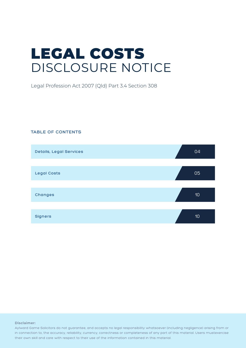# LEGAL COSTS DISCLOSURE NOTICE

Legal Profession Act 2007 (Qld) Part 3.4 Section 308

#### **TABLE OF CONTENTS**



#### **Disclaimer:**

Aylward Game Solicitors do not guarantee, and accepts no legal responsibility whatsoever (including negligence) arising from or in connection to, the accuracy, reliability, currency, correctness or completeness of any part of this material. Users mustexercise their own skill and care with respect to their use of the information contained in this material.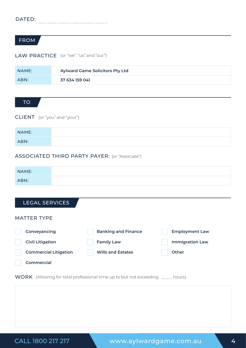# FROM

#### LAW PRACTICE (or "we", "us" and "our")

| NAME: | <b>Aylward Game Solicitors Pty Ltd</b> |
|-------|----------------------------------------|
| ABN:  | 37 634 159 041                         |

### TO

CLIENT (or "you" and "your")

| NAME: |  |
|-------|--|
| ABN:  |  |

#### ASSOCIATED THIRD PARTY PAYER: (or "Associate")

| NAME: |  |
|-------|--|
| ABN:  |  |

## LEGAL SERVICES

#### MATTER TYPE

| Conveyancing                 | <b>Banking and Finance</b> | <b>Employment Law</b>  |
|------------------------------|----------------------------|------------------------|
| <b>Civil Litigation</b>      | <b>Family Law</b>          | <b>Immigration Law</b> |
| <b>Commercial Litigation</b> | <b>Wills and Estates</b>   | Other                  |
| Commercial                   |                            |                        |

WORK (Allowing for total professional time up to but not exceeding ...... hours).

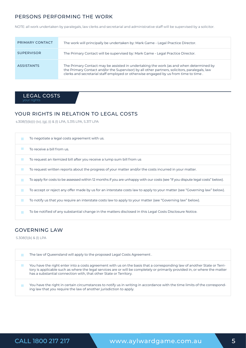#### PERSONS PERFORMING THE WORK

NOTE: all work undertaken by paralegals, law clerks and secretarial and administrative staff will be supervised by a solicitor.

| PRIMARY CONTACT   | The work will principally be undertaken by: Mark Game - Legal Practice Director.                                                                                                                                                                                               |
|-------------------|--------------------------------------------------------------------------------------------------------------------------------------------------------------------------------------------------------------------------------------------------------------------------------|
| <b>SUPERVISOR</b> | The Primary Contact will be supervised by: Mark Game - Legal Practice Director.                                                                                                                                                                                                |
| <b>ASSISTANTS</b> | The Primary Contact may be assisted in undertaking the work (as and when determined by<br>the Primary Contact and/or the Supervisor) by all other partners, solicitors, paralegals, law<br>clerks and secretarial staff employed or otherwise engaged by us from time to time. |

LEGAL COSTS

# YOUR RIGHTS IN RELATION TO LEGAL COSTS

s.308(1)(b)(i)-(iv), (g), (i) & (l) LPA, S.315 LPA, S.317 LPA

| To negotiate a legal costs agreement with us.                                                                                  |
|--------------------------------------------------------------------------------------------------------------------------------|
| To receive a bill from us.                                                                                                     |
| To request an itemized bill after you receive a lump sum bill from us                                                          |
| To request written reports about the progress of your matter and/or the costs incurred in your matter.                         |
| To apply for costs to be assessed within 12 months if you are unhappy with our costs (see "If you dispute legal costs" below). |
| To accept or reject any offer made by us for an interstate costs law to apply to your matter (see "Governing law" below).      |
| To notify us that you require an interstate costs law to apply to your matter (see "Governing law" below).                     |
| To be notified of any substantial change in the matters disclosed in this Legal Costs Disclosure Notice.                       |

### GOVERNING LAW

S.308(1)(k) & (l) LPA

| The law of Queensland will apply to the proposed Legal Costs Agreement.                                                                                                                                                                                                                                                      |
|------------------------------------------------------------------------------------------------------------------------------------------------------------------------------------------------------------------------------------------------------------------------------------------------------------------------------|
| You have the right enter into a costs agreement with us on the basis that a corresponding law of another State or Terri-<br>tory is applicable such as where the legal services are or will be completely or primarily provided in, or where the matter<br>has a substantial connection with, that other State or Territory. |
| You have the right in certain circumstances to notify us in writing in accordance with the time limits of the correspond-<br>ing law that you require the law of another jurisdiction to apply.                                                                                                                              |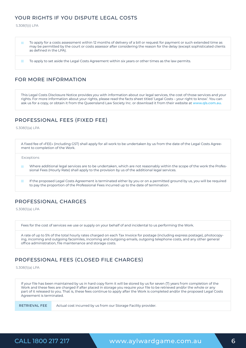### YOUR RIGHTS IF YOU DISPUTE LEGAL COSTS

S.308(1)(i) LPA



### FOR MORE INFORMATION

This Legal Costs Disclosure Notice provides you with information about our legal services, the cost of those services and your rights. For more information about your rights, please read the facts sheet titled 'Legal Costs – your right to know'. You can ask us for a copy, or obtain it from the Queensland Law Society Inc. or download it from their website at **www.qls.com.au.**

# PROFESSIONAL FEES (FIXED FEE)

S.308(1)(a) LPA



### PROFESSIONAL CHARGES

S.308(1)(a) LPA

Fees for the cost of services we use or supply on your behalf of and incidental to us performing the Work.

A rate of up to 5% of the total hourly rates charged on each Tax Invoice for postage (including express postage), photocopying, incoming and outgoing facsimiles, incoming and outgoing emails, outgoing telephone costs, and any other general office administration, file maintenance and storage costs.

### PROFESSIONAL FEES (CLOSED FILE CHARGES)

S.308(1)(a) LPA

If your file has been maintained by us in hard copy form it will be stored by us for seven (7) years from completion of the Work and these fees are charged if after placed in storage you require your file to be retrieved and/or the whole or any part of it released to you. That is, these fees continue to apply after the Work is completed and/or the proposed Legal Costs Agreement is terminated.

RETRIEVAL FEE

Actual cost incurred by us from our Storage Facility provider.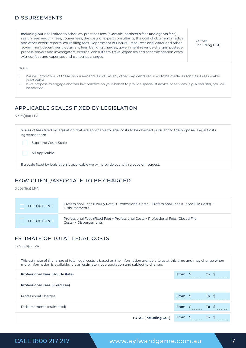#### DISBURSEMENTS

Including but not limited to other law practices fees (example; barrister's fees and agents fees), search fees, enquiry fees, courier fees, the costs of expert consultants, the cost of obtaining medical and other expert reports, court filing fees, Department of Natural Resources and Water and other government department lodgment fees, banking charges, government revenue charges, postage, process servers and investigators, external consultants, travel expenses and accommodation costs, witness fees and expenses and transcript charges.

At cost (including GST)

NOTE

- 1. We will inform you of these disbursements as well as any other payments required to be made, as soon as is reasonably practicable.
- 2. If we propose to engage another law practice on your behalf to provide specialist advice or services (e.g. a barrister) you will be advised.

# APPLICABLE SCALES FIXED BY LEGISLATION

#### S.308(1)(a) LPA

Scales of fees fixed by legislation that are applicable to legal costs to be charged pursuant to the proposed Legal Costs Agreement are If a scale fixed by legislation is applicable we will provide you with a copy on request. Supreme Court Scale Nil applicable

# HOW CLIENT/ASSOCIATE TO BE CHARGED

S.308(1)(a) LPA

| <b>FEE OPTION 1</b> | Professional Fees (Hourly Rate) + Professional Costs + Professional Fees (Closed File Costs) +<br>Disbursements. |
|---------------------|------------------------------------------------------------------------------------------------------------------|
| FEE OPTION 2        | Professional Fees (Fixed Fee) + Professional Costs + Professional Fees (Closed File<br>Costs) + Disbursements.   |

# ESTIMATE OF TOTAL LEGAL COSTS

S.308(1)(c) LPA

| This estimate of the range of total legal costs is based on the information available to us at this time and may change when<br>more information is available. It is an estimate, not a quotation and subject to change. |                              |                 |                 |         |  |
|--------------------------------------------------------------------------------------------------------------------------------------------------------------------------------------------------------------------------|------------------------------|-----------------|-----------------|---------|--|
| <b>Professional Fees (Hourly Rate)</b>                                                                                                                                                                                   |                              |                 | From $$$ To $$$ |         |  |
| <b>Professional Fees (Fixed Fee)</b>                                                                                                                                                                                     |                              |                 |                 |         |  |
| <b>Professional Charges</b>                                                                                                                                                                                              |                              | From \$         | <b>To</b> \$    |         |  |
| Disbursements (estimated)                                                                                                                                                                                                |                              | From \$         |                 | To \$   |  |
|                                                                                                                                                                                                                          | <b>TOTAL (including GST)</b> | From $\sqrt{5}$ |                 | $To \S$ |  |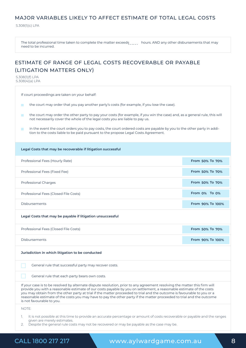#### MAJOR VARIABLES LIKELY TO AFFECT ESTIMATE OF TOTAL LEGAL COSTS

S.308(1)(c) LPA

The total professional time taken to complete the matter exceeds hours. AND any other disbursements that may need to be incurred.

# ESTIMATE OF RANGE OF LEGAL COSTS RECOVERABLE OR PAYABLE (LITIGATION MATTERS ONLY)

S.308(1)(f) LPA S.308(4)(a) LPA

If court proceedings are taken on your behalf:

the court may order that you pay another party's costs (for example, if you lose the case). **College** 

the court may order the other party to pay your costs (for example, if you win the case) and, as a general rule, this will not necessarily cover the whole of the legal costs you are liable to pay us.

in the event the court orders you to pay costs, the court ordered costs are payable by you to the other party in addi- $\mathcal{L}^{\mathcal{L}}$ tion to the costs liable to be paid pursuant to the propose Legal Costs Agreement.

# **Legal Costs that may be recoverable if litigation successful Legal Costs that may be payable if litigation unsuccessful** Professional Fees (Hourly Rate) Professional Charges Professional Fees (Closed File Costs) Professional Fees (Closed File Costs) Disbursements Disbursements Professional Fees (Fixed Fee) **From 50% To 70% From 50% To 70% From 50% To 70% From 0% To 0% From 50% To 70% From 90% To 100% From 90% To 100%**

#### **Jurisdiction in which litigation to be conducted**

General rule that successful party may recover costs.

General rule that each party bears own costs.

If your case is to be resolved by alternate dispute resolution, prior to any agreement resolving the matter this firm will provide you with a reasonable estimate of our costs payable by you on settlement, a reasonable estimate of the costs you may obtain from the other party at trial if the matter proceeded to trial and the outcome is favourable to you or a reasonable estimate of the costs you may have to pay the other party if the matter proceeded to trial and the outcome is not favourable to you.

NOTE:

- 1. It is not possible at this time to provide an accurate percentage or amount of costs recoverable or payable and the ranges given are merely estimates.
- 2. Despite the general rule costs may not be recovered or may be payable as the case may be.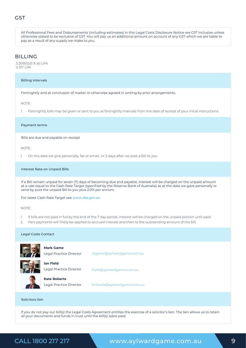### **GST**

All Professional Fees and Disbursements (including estimates) in this Legal Costs Disclosure Notice are GST inclusive unless otherwise stated to be exclusive of GST. You will pay us an additional amount on account of any GST which we are liable to pay as a result of any supply we make to you.

#### BILLING

S.308(1)(d) & (e) LPA S.317 LPA

#### Billing intervals

Fortnightly and at conclusion of matter or otherwise agreed in writing by prior arrangements.

#### NOTE:

1. Fortnightly bills may be given or sent to you at fortnightly intervals from the date of receipt of your initial instructions.

#### Payment terms

Bills are due and payable on receipt

#### NOTE:

1. On the date we give personally, fax or email, or 2 days after we post a Bill to you.

#### Interest Rate on Unpaid Bills

If a Bill remain unpaid for seven (7) days of becoming due and payable, interest will be charged on the unpaid amount at a rate equal to the Cash Rate Target (specified by the Reserve Bank of Australia) as at the date we gave personally or send by post the unpaid Bill to you plus 2.0% per annum.

For latest Cash Rate Target see **www.rba.gov.au**

#### NOTE:

- 1. If bills are not paid in full by the end of the 7 day period, interest will be charged on the unpaid portion until paid.
- 2. Part payments will firstly be applied to accrued interest and then to the outstanding amount of the bill.

#### Legal Costs Contact



#### **Mark Game**

**Ian Field**  Legal Practice Director

Legal Practice Director

ifield@aylwardgame.com.au

mgame@aylwardgame.com.au

#### **Kate Roberts**

Legal Practice Director

kroberts@aylwardgame.com.au

#### Solicitors lien

If you do not pay our bill(s) the Legal Costs Agreement entitles the exercise of a solicitor's lien. The lien allows us to retain all your documents and funds in trust until the bill(s) is/are paid.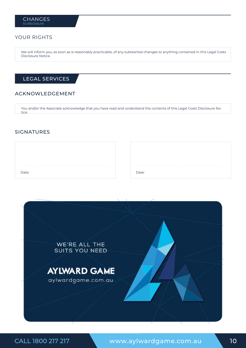#### YOUR RIGHTS

We will inform you, as soon as is reasonably practicable, of any substantial changes to anything contained in this Legal Costs Disclosure Notice.

## LEGAL SERVICES

#### ACKNOWLEDGEMENT

You and/or the Associate acknowledge that you have read and understand the contents of this Legal Costs Disclosure Notice.

#### SIGNATURES

| Date: |
|-------|
|       |